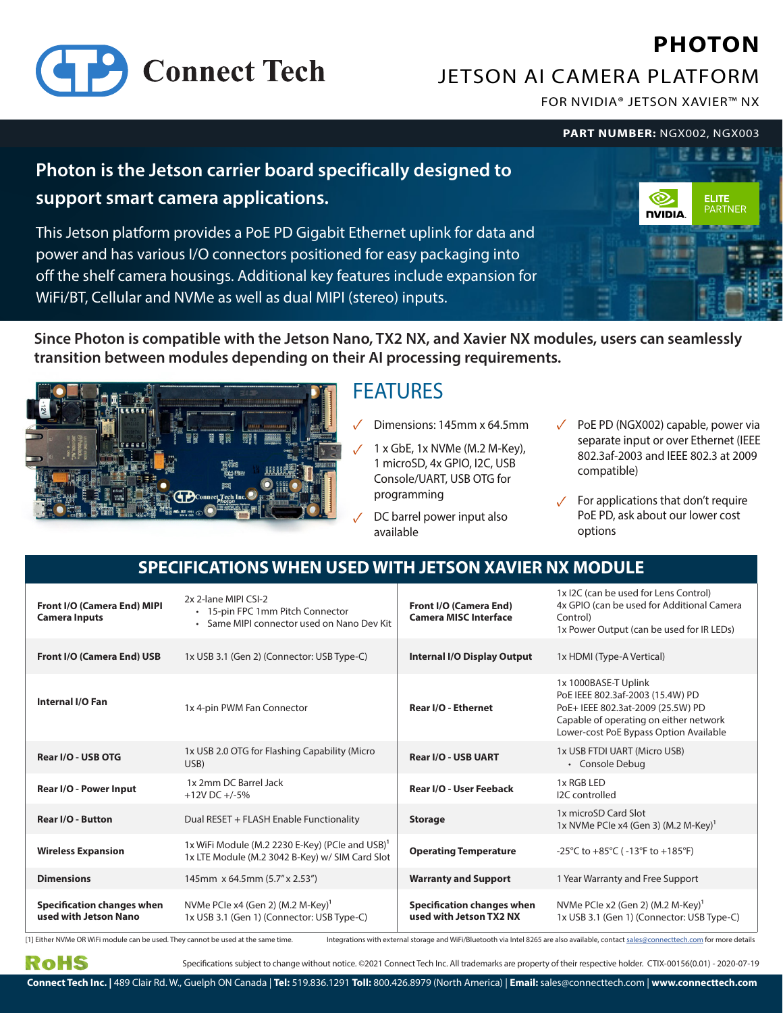# **PHOTON**



JETSON AI CAMERA PLATFORM

FOR NVIDIA® JETSON XAVIER™ NX

**PART NUMBER:** NGX002, NGX003

# **Photon is the Jetson carrier board specifically designed to support smart camera applications.**

This Jetson platform provides a PoE PD Gigabit Ethernet uplink for data and power and has various I/O connectors positioned for easy packaging into off the shelf camera housings. Additional key features include expansion for WiFi/BT, Cellular and NVMe as well as dual MIPI (stereo) inputs.



**Since Photon is compatible with the Jetson Nano, TX2 NX, and Xavier NX modules, users can seamlessly transition between modules depending on their AI processing requirements.**



# **FEATURES**

- Dimensions: 145mm x 64.5mm
- $1 \times$  GbE,  $1 \times$  NVMe (M.2 M-Key), 1 microSD, 4x GPIO, I2C, USB Console/UART, USB OTG for programming
- DC barrel power input also available
- PoE PD (NGX002) capable, power via ✓ separate input or over Ethernet (IEEE 802.3af-2003 and IEEE 802.3 at 2009 compatible)
- ✓ For applications that don't require PoE PD, ask about our lower cost options

#### **SPECIFICATIONS WHEN USED WITH JETSON XAVIER NX MODULE**

| Front I/O (Camera End) MIPI<br><b>Camera Inputs</b>        | 2x 2-lane MIPI CSI-2<br>• 15-pin FPC 1mm Pitch Connector<br>• Same MIPI connector used on Nano Dev Kit         | Front I/O (Camera End)<br><b>Camera MISC Interface</b>       | 1x I2C (can be used for Lens Control)<br>4x GPIO (can be used for Additional Camera<br>Control)<br>1x Power Output (can be used for IR LEDs)                                      |
|------------------------------------------------------------|----------------------------------------------------------------------------------------------------------------|--------------------------------------------------------------|-----------------------------------------------------------------------------------------------------------------------------------------------------------------------------------|
| Front I/O (Camera End) USB                                 | 1x USB 3.1 (Gen 2) (Connector: USB Type-C)                                                                     | Internal I/O Display Output                                  | 1x HDMI (Type-A Vertical)                                                                                                                                                         |
| <b>Internal I/O Fan</b>                                    | 1x 4-pin PWM Fan Connector                                                                                     | Rear I/O - Ethernet                                          | 1x 1000BASE-T Uplink<br>PoE IEEE 802.3af-2003 (15.4W) PD<br>PoE+ IEEE 802.3at-2009 (25.5W) PD<br>Capable of operating on either network<br>Lower-cost PoE Bypass Option Available |
| Rear I/O - USB OTG                                         | 1x USB 2.0 OTG for Flashing Capability (Micro<br>USB)                                                          | <b>Rear I/O - USB UART</b>                                   | 1x USB FTDI UART (Micro USB)<br>• Console Debug                                                                                                                                   |
| Rear I/O - Power Input                                     | 1x 2mm DC Barrel Jack<br>$+12V$ DC $+/-5%$                                                                     | Rear I/O - User Feeback                                      | 1x RGB LED<br><b>I2C</b> controlled                                                                                                                                               |
| <b>Rear I/O - Button</b>                                   | Dual RESET + FLASH Enable Functionality                                                                        | <b>Storage</b>                                               | 1x microSD Card Slot<br>1x NVMe PCIe x4 (Gen 3) (M.2 M-Key) <sup>1</sup>                                                                                                          |
| <b>Wireless Expansion</b>                                  | 1x WiFi Module (M.2 2230 E-Key) (PCIe and USB) <sup>1</sup><br>1x LTE Module (M.2 3042 B-Key) w/ SIM Card Slot | <b>Operating Temperature</b>                                 | -25°C to +85°C (-13°F to +185°F)                                                                                                                                                  |
| <b>Dimensions</b>                                          | 145mm x 64.5mm (5.7" x 2.53")                                                                                  | <b>Warranty and Support</b>                                  | 1 Year Warranty and Free Support                                                                                                                                                  |
| <b>Specification changes when</b><br>used with Jetson Nano | NVMe PCIe x4 (Gen 2) (M.2 M-Key) <sup>1</sup><br>1x USB 3.1 (Gen 1) (Connector: USB Type-C)                    | <b>Specification changes when</b><br>used with Jetson TX2 NX | NVMe PCIe x2 (Gen 2) (M.2 M-Key) <sup>1</sup><br>1x USB 3.1 (Gen 1) (Connector: USB Type-C)                                                                                       |

[1] Either NVMe OR WiFi module can be used. They cannot be used at the same time. Integrations with external storage and WiFi/Bluetooth via Intel 8265 are also available, contact sales@connecttech.com for more details

Specifications subject to change without notice. ©2021 Connect Tech Inc. All trademarks are property of their respective holder. CTIX-00156(0.01) - 2020-07-19

RoHS

**Connect Tech Inc. |** 489 Clair Rd. W., Guelph ON Canada | **Tel:** 519.836.1291 **Toll:** 800.426.8979 (North America) | **Email:** sales@connecttech.com | **www.connecttech.com**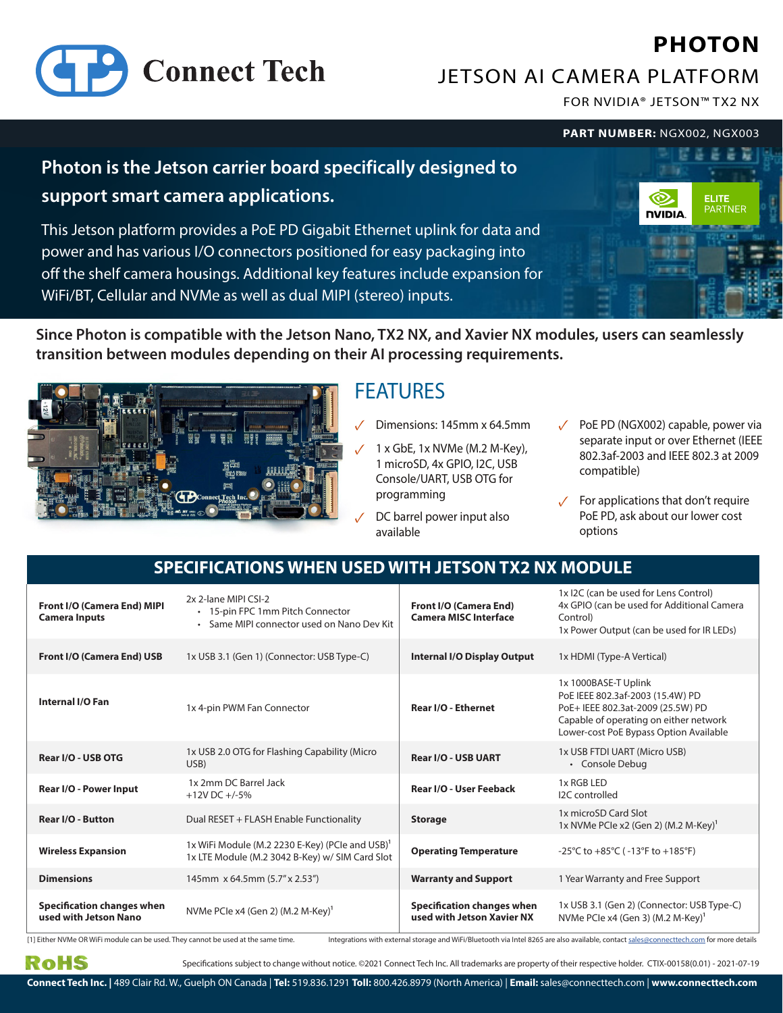# **PHOTON**



JETSON AI CAMERA PLATFORM

FOR NVIDIA® JETSON™ TX2 NX

**PART NUMBER:** NGX002, NGX003

### **Photon is the Jetson carrier board specifically designed to support smart camera applications.**

This Jetson platform provides a PoE PD Gigabit Ethernet uplink for data and power and has various I/O connectors positioned for easy packaging into off the shelf camera housings. Additional key features include expansion for WiFi/BT, Cellular and NVMe as well as dual MIPI (stereo) inputs.



**Since Photon is compatible with the Jetson Nano, TX2 NX, and Xavier NX modules, users can seamlessly transition between modules depending on their AI processing requirements.**



# FEATURES

- ✓ Dimensions: 145mm x 64.5mm
- $1 \times$  GbE,  $1 \times$  NVMe (M.2 M-Key), 1 microSD, 4x GPIO, I2C, USB Console/UART, USB OTG for programming
- DC barrel power input also available
- PoE PD (NGX002) capable, power via ✓ separate input or over Ethernet (IEEE 802.3af-2003 and IEEE 802.3 at 2009 compatible)
- ✓ For applications that don't require PoE PD, ask about our lower cost options

#### **SPECIFICATIONS WHEN USED WITH JETSON TX2 NX MODULE**

| Front I/O (Camera End) MIPI<br><b>Camera Inputs</b>        | 2x 2-lane MIPI CSI-2<br>• 15-pin FPC 1mm Pitch Connector<br>• Same MIPI connector used on Nano Dev Kit         | <b>Front I/O (Camera End)</b><br><b>Camera MISC Interface</b>   | 1x I2C (can be used for Lens Control)<br>4x GPIO (can be used for Additional Camera<br>Control)<br>1x Power Output (can be used for IR LEDs)                                      |
|------------------------------------------------------------|----------------------------------------------------------------------------------------------------------------|-----------------------------------------------------------------|-----------------------------------------------------------------------------------------------------------------------------------------------------------------------------------|
| <b>Front I/O (Camera End) USB</b>                          | 1x USB 3.1 (Gen 1) (Connector: USB Type-C)                                                                     | <b>Internal I/O Display Output</b>                              | 1x HDMI (Type-A Vertical)                                                                                                                                                         |
| Internal I/O Fan                                           | 1x 4-pin PWM Fan Connector                                                                                     | Rear I/O - Ethernet                                             | 1x 1000BASE-T Uplink<br>PoE IEEE 802.3af-2003 (15.4W) PD<br>PoE+ IEEE 802.3at-2009 (25.5W) PD<br>Capable of operating on either network<br>Lower-cost PoE Bypass Option Available |
| Rear I/O - USB OTG                                         | 1x USB 2.0 OTG for Flashing Capability (Micro<br>USB)                                                          | <b>Rear I/O - USB UART</b>                                      | 1x USB FTDI UART (Micro USB)<br>• Console Debug                                                                                                                                   |
| Rear I/O - Power Input                                     | 1x 2mm DC Barrel Jack<br>$+12V$ DC $+/-5%$                                                                     | Rear I/O - User Feeback                                         | 1x RGB LED<br>I2C controlled                                                                                                                                                      |
| <b>Rear I/O - Button</b>                                   | Dual RESET + FLASH Enable Functionality                                                                        | <b>Storage</b>                                                  | 1x microSD Card Slot<br>$1x$ NVMe PCIe x2 (Gen 2) (M.2 M-Key) <sup>1</sup>                                                                                                        |
| <b>Wireless Expansion</b>                                  | 1x WiFi Module (M.2 2230 E-Key) (PCIe and USB) <sup>1</sup><br>1x LTE Module (M.2 3042 B-Key) w/ SIM Card Slot | <b>Operating Temperature</b>                                    | -25°C to +85°C (-13°F to +185°F)                                                                                                                                                  |
| <b>Dimensions</b>                                          | 145mm x 64.5mm (5.7" x 2.53")                                                                                  | <b>Warranty and Support</b>                                     | 1 Year Warranty and Free Support                                                                                                                                                  |
| <b>Specification changes when</b><br>used with Jetson Nano | NVMe PCIe x4 (Gen 2) (M.2 M-Key) <sup>1</sup>                                                                  | <b>Specification changes when</b><br>used with Jetson Xavier NX | 1x USB 3.1 (Gen 2) (Connector: USB Type-C)<br>NVMe PCle x4 (Gen 3) (M.2 M-Key) <sup>1</sup>                                                                                       |

Specifications subject to change without notice. ©2021 Connect Tech Inc. All trademarks are property of their respective holder. CTIX-00158(0.01) - 2021-07-19 [1] Either NVMe OR WiFi module can be used. They cannot be used at the same time. Integrations with external storage and WiFi/Bluetooth via Intel 8265 are also available, contact sales@connecttech.com for more details

RoHS

**Connect Tech Inc. |** 489 Clair Rd. W., Guelph ON Canada | **Tel:** 519.836.1291 **Toll:** 800.426.8979 (North America) | **Email:** sales@connecttech.com | **www.connecttech.com**